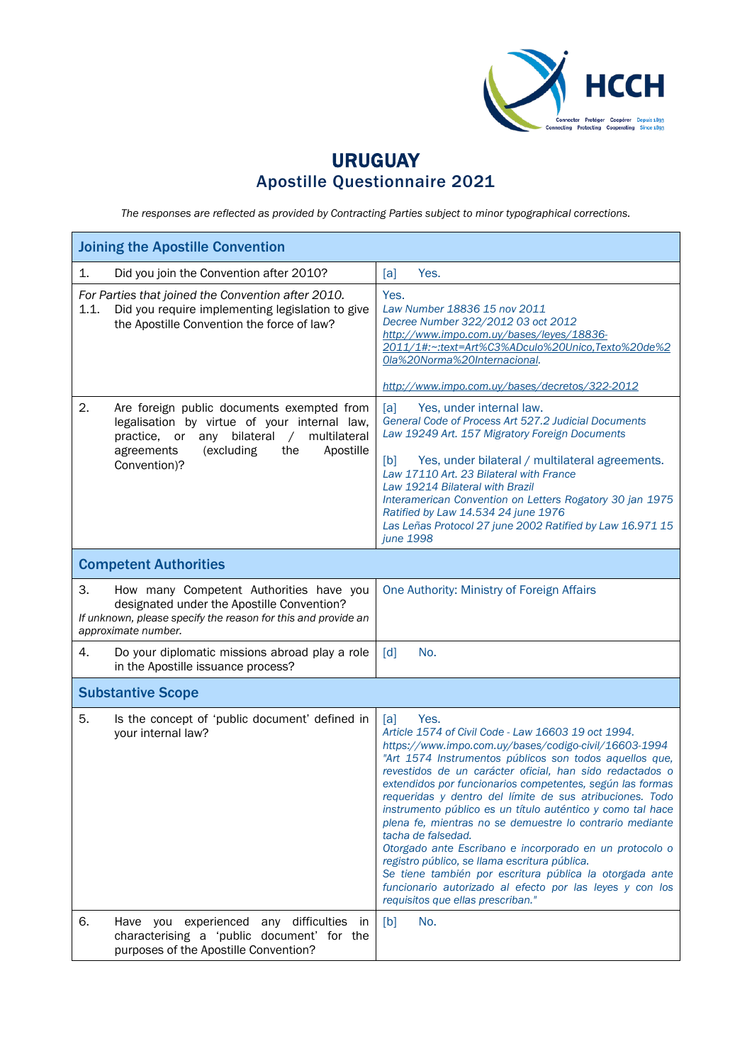

## URUGUAY Apostille Questionnaire 2021

*The responses are reflected as provided by Contracting Parties subject to minor typographical corrections.*

| <b>Joining the Apostille Convention</b>                                                                                                                                                                                            |                                                                                                                                                                                                                                                                                                                                                                                                                                                                                                                                                                                                                                                                                                                                                                                                     |  |  |
|------------------------------------------------------------------------------------------------------------------------------------------------------------------------------------------------------------------------------------|-----------------------------------------------------------------------------------------------------------------------------------------------------------------------------------------------------------------------------------------------------------------------------------------------------------------------------------------------------------------------------------------------------------------------------------------------------------------------------------------------------------------------------------------------------------------------------------------------------------------------------------------------------------------------------------------------------------------------------------------------------------------------------------------------------|--|--|
| Did you join the Convention after 2010?<br>1.                                                                                                                                                                                      | Yes.<br>[a]                                                                                                                                                                                                                                                                                                                                                                                                                                                                                                                                                                                                                                                                                                                                                                                         |  |  |
| For Parties that joined the Convention after 2010.<br>1.1.<br>Did you require implementing legislation to give<br>the Apostille Convention the force of law?                                                                       | Yes.<br>Law Number 18836 15 nov 2011<br>Decree Number 322/2012 03 oct 2012<br>http://www.impo.com.uy/bases/leyes/18836-<br>2011/1#:~:text=Art%C3%ADculo%20Unico,Texto%20de%2<br>Ola%20Norma%20Internacional.<br>http://www.impo.com.uy/bases/decretos/322-2012                                                                                                                                                                                                                                                                                                                                                                                                                                                                                                                                      |  |  |
| 2.<br>Are foreign public documents exempted from<br>legalisation by virtue of your internal law,<br>bilateral<br>multilateral<br>practice, or<br>any<br>$\sqrt{2}$<br>agreements<br>(excluding<br>the<br>Apostille<br>Convention)? | Yes, under internal law.<br>[a]<br>General Code of Process Art 527.2 Judicial Documents<br>Law 19249 Art. 157 Migratory Foreign Documents<br>Yes, under bilateral / multilateral agreements.<br>[b]<br>Law 17110 Art. 23 Bilateral with France<br>Law 19214 Bilateral with Brazil<br>Interamerican Convention on Letters Rogatory 30 jan 1975<br>Ratified by Law 14.534 24 june 1976<br>Las Leñas Protocol 27 june 2002 Ratified by Law 16.971 15<br>june 1998                                                                                                                                                                                                                                                                                                                                      |  |  |
| <b>Competent Authorities</b>                                                                                                                                                                                                       |                                                                                                                                                                                                                                                                                                                                                                                                                                                                                                                                                                                                                                                                                                                                                                                                     |  |  |
| З.<br>How many Competent Authorities have you<br>designated under the Apostille Convention?<br>If unknown, please specify the reason for this and provide an<br>approximate number.                                                | One Authority: Ministry of Foreign Affairs                                                                                                                                                                                                                                                                                                                                                                                                                                                                                                                                                                                                                                                                                                                                                          |  |  |
| 4.<br>Do your diplomatic missions abroad play a role<br>in the Apostille issuance process?                                                                                                                                         | $\lceil d \rceil$<br>No.                                                                                                                                                                                                                                                                                                                                                                                                                                                                                                                                                                                                                                                                                                                                                                            |  |  |
| <b>Substantive Scope</b>                                                                                                                                                                                                           |                                                                                                                                                                                                                                                                                                                                                                                                                                                                                                                                                                                                                                                                                                                                                                                                     |  |  |
| 5.<br>Is the concept of 'public document' defined in<br>your internal law?                                                                                                                                                         | Yes.<br>[a]<br>Article 1574 of Civil Code - Law 16603 19 oct 1994.<br>https://www.impo.com.uy/bases/codigo-civil/16603-1994<br>"Art 1574 Instrumentos públicos son todos aquellos que,<br>revestidos de un carácter oficial, han sido redactados o<br>extendidos por funcionarios competentes, según las formas<br>requeridas y dentro del límite de sus atribuciones. Todo<br>instrumento público es un título auténtico y como tal hace<br>plena fe, mientras no se demuestre lo contrario mediante<br>tacha de falsedad.<br>Otorgado ante Escribano e incorporado en un protocolo o<br>registro público, se llama escritura pública.<br>Se tiene también por escritura pública la otorgada ante<br>funcionario autorizado al efecto por las leyes y con los<br>requisitos que ellas prescriban." |  |  |
| 6.<br>Have you experienced any difficulties<br><sub>in</sub><br>characterising a 'public document' for the<br>purposes of the Apostille Convention?                                                                                | No.<br>[b]                                                                                                                                                                                                                                                                                                                                                                                                                                                                                                                                                                                                                                                                                                                                                                                          |  |  |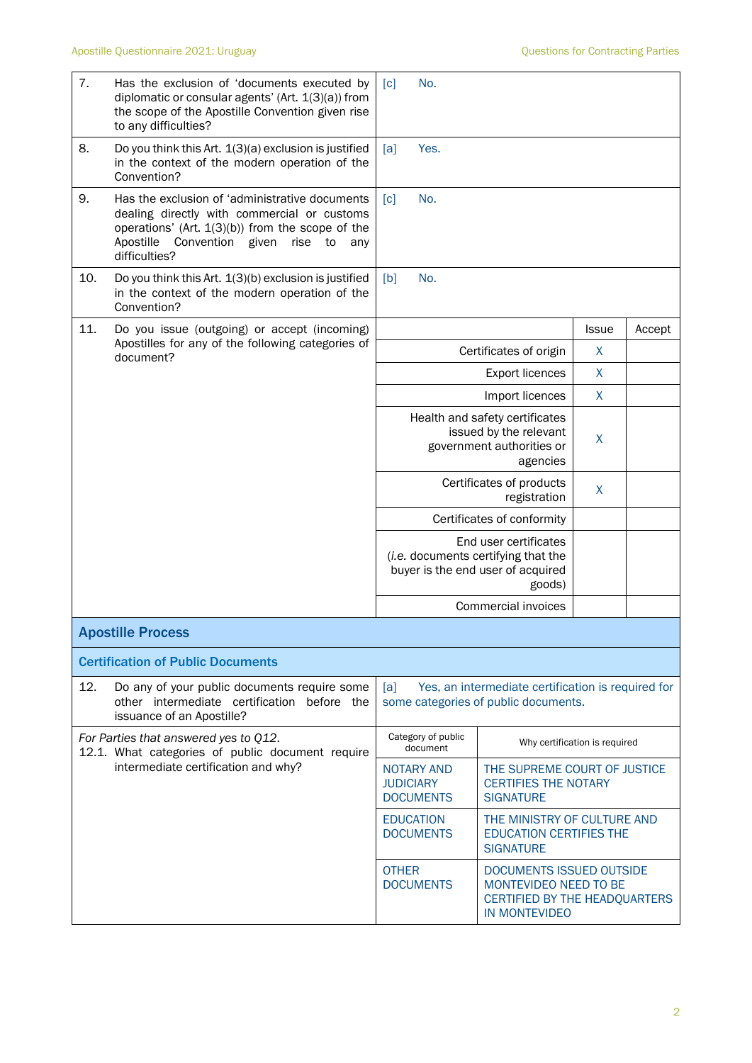| 7.  | Has the exclusion of 'documents executed by<br>diplomatic or consular agents' (Art. 1(3)(a)) from<br>the scope of the Apostille Convention given rise<br>to any difficulties?                                               | No.<br>$\lceil c \rceil$                                                                          |                                                                                                             |              |        |  |
|-----|-----------------------------------------------------------------------------------------------------------------------------------------------------------------------------------------------------------------------------|---------------------------------------------------------------------------------------------------|-------------------------------------------------------------------------------------------------------------|--------------|--------|--|
| 8.  | Do you think this Art. 1(3)(a) exclusion is justified<br>in the context of the modern operation of the<br>Convention?                                                                                                       | Yes.<br>[a]                                                                                       |                                                                                                             |              |        |  |
| 9.  | Has the exclusion of 'administrative documents<br>dealing directly with commercial or customs<br>operations' (Art. $1(3)(b)$ ) from the scope of the<br>Apostille<br>Convention given<br>rise<br>to<br>any<br>difficulties? | No.<br>$\lceil c \rceil$                                                                          |                                                                                                             |              |        |  |
| 10. | Do you think this Art. 1(3)(b) exclusion is justified<br>in the context of the modern operation of the<br>Convention?                                                                                                       | No.<br>[b]                                                                                        |                                                                                                             |              |        |  |
| 11. | Do you issue (outgoing) or accept (incoming)                                                                                                                                                                                |                                                                                                   |                                                                                                             | <b>Issue</b> | Accept |  |
|     | Apostilles for any of the following categories of<br>document?                                                                                                                                                              |                                                                                                   | Certificates of origin                                                                                      | X            |        |  |
|     |                                                                                                                                                                                                                             |                                                                                                   | <b>Export licences</b>                                                                                      | X            |        |  |
|     |                                                                                                                                                                                                                             |                                                                                                   | Import licences                                                                                             | X            |        |  |
|     |                                                                                                                                                                                                                             |                                                                                                   | Health and safety certificates<br>issued by the relevant<br>government authorities or<br>agencies           | X            |        |  |
|     |                                                                                                                                                                                                                             |                                                                                                   | Certificates of products<br>registration                                                                    | X            |        |  |
|     |                                                                                                                                                                                                                             |                                                                                                   | Certificates of conformity                                                                                  |              |        |  |
|     |                                                                                                                                                                                                                             |                                                                                                   | End user certificates<br>(i.e. documents certifying that the<br>buyer is the end user of acquired<br>goods) |              |        |  |
|     |                                                                                                                                                                                                                             |                                                                                                   | <b>Commercial invoices</b>                                                                                  |              |        |  |
|     | <b>Apostille Process</b>                                                                                                                                                                                                    |                                                                                                   |                                                                                                             |              |        |  |
|     | <b>Certification of Public Documents</b>                                                                                                                                                                                    |                                                                                                   |                                                                                                             |              |        |  |
| 12. | Do any of your public documents require some<br>other intermediate certification before the<br>issuance of an Apostille?                                                                                                    | [a]<br>Yes, an intermediate certification is required for<br>some categories of public documents. |                                                                                                             |              |        |  |
|     | For Parties that answered yes to Q12.<br>12.1. What categories of public document require                                                                                                                                   | Category of public<br>document                                                                    | Why certification is required                                                                               |              |        |  |
|     | intermediate certification and why?                                                                                                                                                                                         | <b>NOTARY AND</b><br><b>JUDICIARY</b><br><b>DOCUMENTS</b>                                         | THE SUPREME COURT OF JUSTICE<br><b>CERTIFIES THE NOTARY</b><br><b>SIGNATURE</b>                             |              |        |  |
|     |                                                                                                                                                                                                                             | <b>EDUCATION</b><br><b>DOCUMENTS</b>                                                              | THE MINISTRY OF CULTURE AND<br><b>EDUCATION CERTIFIES THE</b><br><b>SIGNATURE</b>                           |              |        |  |
|     |                                                                                                                                                                                                                             | <b>OTHER</b><br><b>DOCUMENTS</b>                                                                  | DOCUMENTS ISSUED OUTSIDE<br>MONTEVIDEO NEED TO BE<br>CERTIFIED BY THE HEADQUARTERS<br><b>IN MONTEVIDEO</b>  |              |        |  |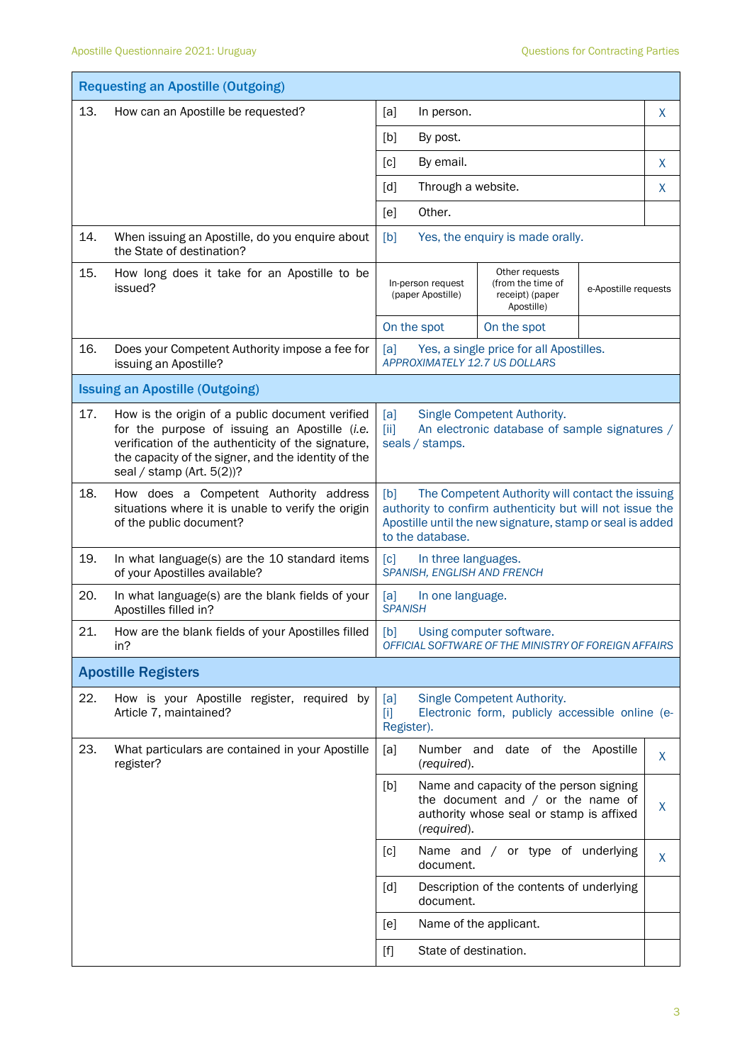|     | <b>Requesting an Apostille (Outgoing)</b>                                                                                                                                                                                                  |                                                                                                                                                                                                      |   |  |  |  |
|-----|--------------------------------------------------------------------------------------------------------------------------------------------------------------------------------------------------------------------------------------------|------------------------------------------------------------------------------------------------------------------------------------------------------------------------------------------------------|---|--|--|--|
| 13. | How can an Apostille be requested?                                                                                                                                                                                                         | [a]<br>In person.                                                                                                                                                                                    | X |  |  |  |
|     |                                                                                                                                                                                                                                            | [b]<br>By post.                                                                                                                                                                                      |   |  |  |  |
|     |                                                                                                                                                                                                                                            | By email.<br>$\lceil c \rceil$                                                                                                                                                                       |   |  |  |  |
|     |                                                                                                                                                                                                                                            | [d]<br>Through a website.                                                                                                                                                                            | X |  |  |  |
|     |                                                                                                                                                                                                                                            | Other.<br>[e]                                                                                                                                                                                        |   |  |  |  |
| 14. | When issuing an Apostille, do you enquire about<br>the State of destination?                                                                                                                                                               | [b]<br>Yes, the enquiry is made orally.                                                                                                                                                              |   |  |  |  |
| 15. | How long does it take for an Apostille to be<br>issued?                                                                                                                                                                                    | Other requests<br>(from the time of<br>In-person request<br>e-Apostille requests<br>(paper Apostille)<br>receipt) (paper<br>Apostille)                                                               |   |  |  |  |
|     |                                                                                                                                                                                                                                            | On the spot<br>On the spot                                                                                                                                                                           |   |  |  |  |
| 16. | Does your Competent Authority impose a fee for<br>issuing an Apostille?                                                                                                                                                                    | Yes, a single price for all Apostilles.<br>[a]<br>APPROXIMATELY 12.7 US DOLLARS                                                                                                                      |   |  |  |  |
|     | <b>Issuing an Apostille (Outgoing)</b>                                                                                                                                                                                                     |                                                                                                                                                                                                      |   |  |  |  |
| 17. | How is the origin of a public document verified<br>for the purpose of issuing an Apostille (i.e.<br>verification of the authenticity of the signature,<br>the capacity of the signer, and the identity of the<br>seal / stamp (Art. 5(2))? | [a]<br>Single Competent Authority.<br>An electronic database of sample signatures /<br>[iii]<br>seals / stamps.                                                                                      |   |  |  |  |
| 18. | How does a Competent Authority address<br>situations where it is unable to verify the origin<br>of the public document?                                                                                                                    | The Competent Authority will contact the issuing<br>[b]<br>authority to confirm authenticity but will not issue the<br>Apostille until the new signature, stamp or seal is added<br>to the database. |   |  |  |  |
| 19. | In what language(s) are the 10 standard items<br>of your Apostilles available?                                                                                                                                                             | $\lceil c \rceil$<br>In three languages.<br>SPANISH, ENGLISH AND FRENCH                                                                                                                              |   |  |  |  |
| 20. | In what language(s) are the blank fields of your<br>Apostilles filled in?                                                                                                                                                                  | [a]<br>In one language.<br><b>SPANISH</b>                                                                                                                                                            |   |  |  |  |
| 21. | How are the blank fields of your Apostilles filled<br>in?                                                                                                                                                                                  | [b]<br>Using computer software.<br>OFFICIAL SOFTWARE OF THE MINISTRY OF FOREIGN AFFAIRS                                                                                                              |   |  |  |  |
|     | <b>Apostille Registers</b>                                                                                                                                                                                                                 |                                                                                                                                                                                                      |   |  |  |  |
| 22. | How is your Apostille register, required by<br>Article 7, maintained?                                                                                                                                                                      | Single Competent Authority.<br>[a]<br>Electronic form, publicly accessible online (e-<br>$[1]$<br>Register).                                                                                         |   |  |  |  |
| 23. | What particulars are contained in your Apostille<br>register?                                                                                                                                                                              | date of the<br>[a]<br>Number<br>Apostille<br>and<br>(required).                                                                                                                                      | X |  |  |  |
|     |                                                                                                                                                                                                                                            | Name and capacity of the person signing<br>[b]<br>the document and $/$ or the name of<br>authority whose seal or stamp is affixed<br>(required).                                                     | X |  |  |  |
|     |                                                                                                                                                                                                                                            | Name and / or type of underlying<br>[c]<br>document.                                                                                                                                                 | X |  |  |  |
|     |                                                                                                                                                                                                                                            | [d]<br>Description of the contents of underlying<br>document.                                                                                                                                        |   |  |  |  |
|     |                                                                                                                                                                                                                                            | Name of the applicant.<br>[e]                                                                                                                                                                        |   |  |  |  |
|     |                                                                                                                                                                                                                                            | State of destination.                                                                                                                                                                                |   |  |  |  |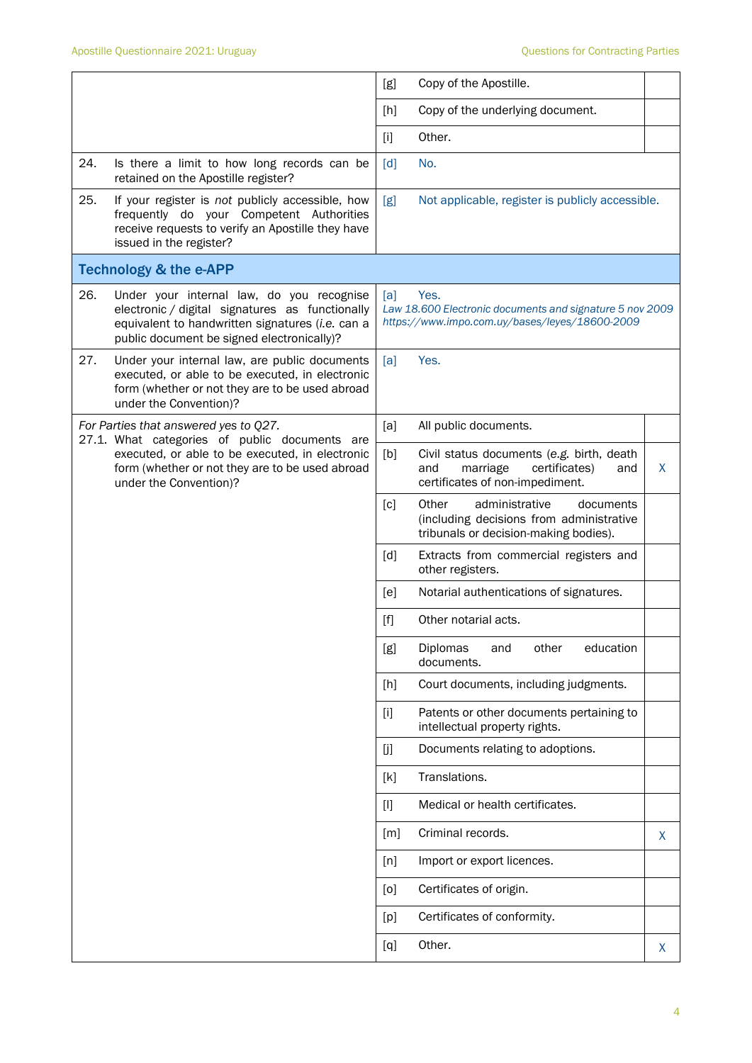|     |                                                                                                                                                                                                | [g]               | Copy of the Apostille.                                                                                                    |              |
|-----|------------------------------------------------------------------------------------------------------------------------------------------------------------------------------------------------|-------------------|---------------------------------------------------------------------------------------------------------------------------|--------------|
|     |                                                                                                                                                                                                | [h]               | Copy of the underlying document.                                                                                          |              |
|     |                                                                                                                                                                                                | $[1]$             | Other.                                                                                                                    |              |
| 24. | Is there a limit to how long records can be<br>retained on the Apostille register?                                                                                                             | $\lceil d \rceil$ | No.                                                                                                                       |              |
| 25. | If your register is not publicly accessible, how<br>frequently do your Competent Authorities<br>receive requests to verify an Apostille they have<br>issued in the register?                   | [g]               | Not applicable, register is publicly accessible.                                                                          |              |
|     | <b>Technology &amp; the e-APP</b>                                                                                                                                                              |                   |                                                                                                                           |              |
| 26. | Under your internal law, do you recognise<br>electronic / digital signatures as functionally<br>equivalent to handwritten signatures (i.e. can a<br>public document be signed electronically)? | [a]               | Yes.<br>Law 18.600 Electronic documents and signature 5 nov 2009<br>https://www.impo.com.uy/bases/leyes/18600-2009        |              |
| 27. | Under your internal law, are public documents<br>executed, or able to be executed, in electronic<br>form (whether or not they are to be used abroad<br>under the Convention)?                  | [a]               | Yes.                                                                                                                      |              |
|     | For Parties that answered yes to Q27.<br>27.1. What categories of public documents are                                                                                                         | [a]               | All public documents.                                                                                                     |              |
|     | executed, or able to be executed, in electronic<br>form (whether or not they are to be used abroad<br>under the Convention)?                                                                   | [b]               | Civil status documents (e.g. birth, death<br>and<br>marriage<br>certificates)<br>and<br>certificates of non-impediment.   | $\mathsf{X}$ |
|     |                                                                                                                                                                                                | $\lceil c \rceil$ | Other<br>administrative<br>documents<br>(including decisions from administrative<br>tribunals or decision-making bodies). |              |
|     |                                                                                                                                                                                                | [d]               | Extracts from commercial registers and<br>other registers.                                                                |              |
|     |                                                                                                                                                                                                | [e]               | Notarial authentications of signatures.                                                                                   |              |
|     |                                                                                                                                                                                                | $[f]$             | Other notarial acts.                                                                                                      |              |
|     |                                                                                                                                                                                                | [g]               | Diplomas<br>other<br>education<br>and<br>documents.                                                                       |              |
|     |                                                                                                                                                                                                | [h]               | Court documents, including judgments.                                                                                     |              |
|     |                                                                                                                                                                                                | $[1]$             | Patents or other documents pertaining to<br>intellectual property rights.                                                 |              |
|     |                                                                                                                                                                                                | [j]               | Documents relating to adoptions.                                                                                          |              |
|     |                                                                                                                                                                                                | [k]               | Translations.                                                                                                             |              |
|     |                                                                                                                                                                                                | $[1]$             | Medical or health certificates.                                                                                           |              |
|     |                                                                                                                                                                                                | [m]               | Criminal records.                                                                                                         | X            |
|     |                                                                                                                                                                                                | [n]               | Import or export licences.                                                                                                |              |
|     |                                                                                                                                                                                                | [0]               | Certificates of origin.                                                                                                   |              |
|     |                                                                                                                                                                                                | [p]               | Certificates of conformity.                                                                                               |              |
|     |                                                                                                                                                                                                | [q]               | Other.                                                                                                                    | X            |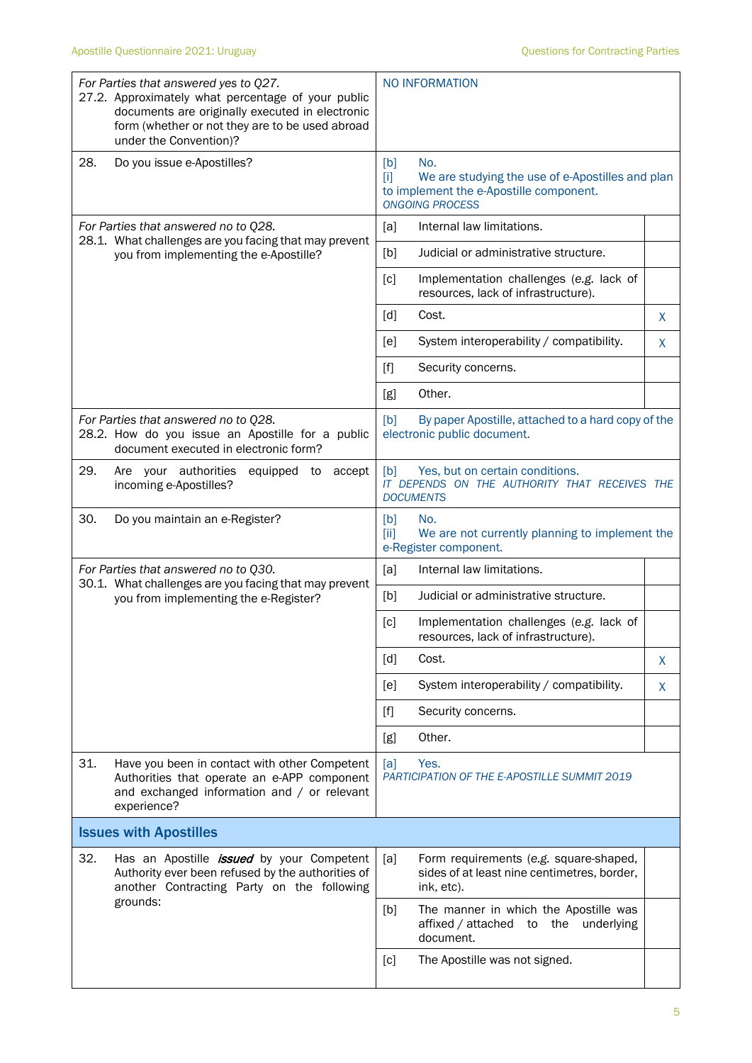|                                      | For Parties that answered yes to Q27.<br>27.2. Approximately what percentage of your public<br>documents are originally executed in electronic<br>form (whether or not they are to be used abroad<br>under the Convention)? | NO INFORMATION                                                                                                                             |    |  |
|--------------------------------------|-----------------------------------------------------------------------------------------------------------------------------------------------------------------------------------------------------------------------------|--------------------------------------------------------------------------------------------------------------------------------------------|----|--|
| 28.                                  | Do you issue e-Apostilles?                                                                                                                                                                                                  | [b]<br>No.<br>We are studying the use of e-Apostilles and plan<br>ſiΤ<br>to implement the e-Apostille component.<br><b>ONGOING PROCESS</b> |    |  |
|                                      | For Parties that answered no to Q28.<br>28.1. What challenges are you facing that may prevent                                                                                                                               | Internal law limitations.<br>[a]                                                                                                           |    |  |
|                                      | you from implementing the e-Apostille?                                                                                                                                                                                      | [b]<br>Judicial or administrative structure.                                                                                               |    |  |
|                                      |                                                                                                                                                                                                                             | [c]<br>Implementation challenges (e.g. lack of<br>resources, lack of infrastructure).                                                      |    |  |
|                                      |                                                                                                                                                                                                                             | [d]<br>Cost.                                                                                                                               | X  |  |
|                                      |                                                                                                                                                                                                                             | System interoperability / compatibility.<br>[e]                                                                                            | X  |  |
|                                      |                                                                                                                                                                                                                             | [f]<br>Security concerns.                                                                                                                  |    |  |
|                                      |                                                                                                                                                                                                                             | Other.<br>[g]                                                                                                                              |    |  |
|                                      | For Parties that answered no to Q28.<br>28.2. How do you issue an Apostille for a public<br>document executed in electronic form?                                                                                           | By paper Apostille, attached to a hard copy of the<br>[b]<br>electronic public document.                                                   |    |  |
| 29.                                  | Are your authorities<br>equipped to<br>accept<br>incoming e-Apostilles?                                                                                                                                                     | Yes, but on certain conditions.<br>[b]<br>IT DEPENDS ON THE AUTHORITY THAT RECEIVES THE<br><b>DOCUMENTS</b>                                |    |  |
| 30.                                  | Do you maintain an e-Register?                                                                                                                                                                                              | [b]<br>No.<br>We are not currently planning to implement the<br>[ii]<br>e-Register component.                                              |    |  |
| For Parties that answered no to Q30. |                                                                                                                                                                                                                             | [a]<br>Internal law limitations.                                                                                                           |    |  |
|                                      | 30.1. What challenges are you facing that may prevent<br>you from implementing the e-Register?                                                                                                                              | [b]<br>Judicial or administrative structure.                                                                                               |    |  |
|                                      |                                                                                                                                                                                                                             | Implementation challenges (e.g. lack of<br>[c]<br>resources, lack of infrastructure).                                                      |    |  |
|                                      |                                                                                                                                                                                                                             | [d]<br>Cost.                                                                                                                               | X. |  |
|                                      |                                                                                                                                                                                                                             | [e]<br>System interoperability / compatibility.                                                                                            | X  |  |
|                                      |                                                                                                                                                                                                                             | $[f]$<br>Security concerns.                                                                                                                |    |  |
|                                      |                                                                                                                                                                                                                             | Other.<br>[g]                                                                                                                              |    |  |
| 31.                                  | Have you been in contact with other Competent<br>Authorities that operate an e-APP component<br>and exchanged information and / or relevant<br>experience?                                                                  | Yes.<br>[a]<br>PARTICIPATION OF THE E-APOSTILLE SUMMIT 2019                                                                                |    |  |
| <b>Issues with Apostilles</b>        |                                                                                                                                                                                                                             |                                                                                                                                            |    |  |
| 32.                                  | Has an Apostille <i>issued</i> by your Competent<br>Authority ever been refused by the authorities of<br>another Contracting Party on the following<br>grounds:                                                             | [a]<br>Form requirements (e.g. square-shaped,<br>sides of at least nine centimetres, border,<br>ink, etc).                                 |    |  |
|                                      |                                                                                                                                                                                                                             | The manner in which the Apostille was<br>[b]<br>affixed / attached<br>the<br>to<br>underlying<br>document.                                 |    |  |
|                                      |                                                                                                                                                                                                                             | [c]<br>The Apostille was not signed.                                                                                                       |    |  |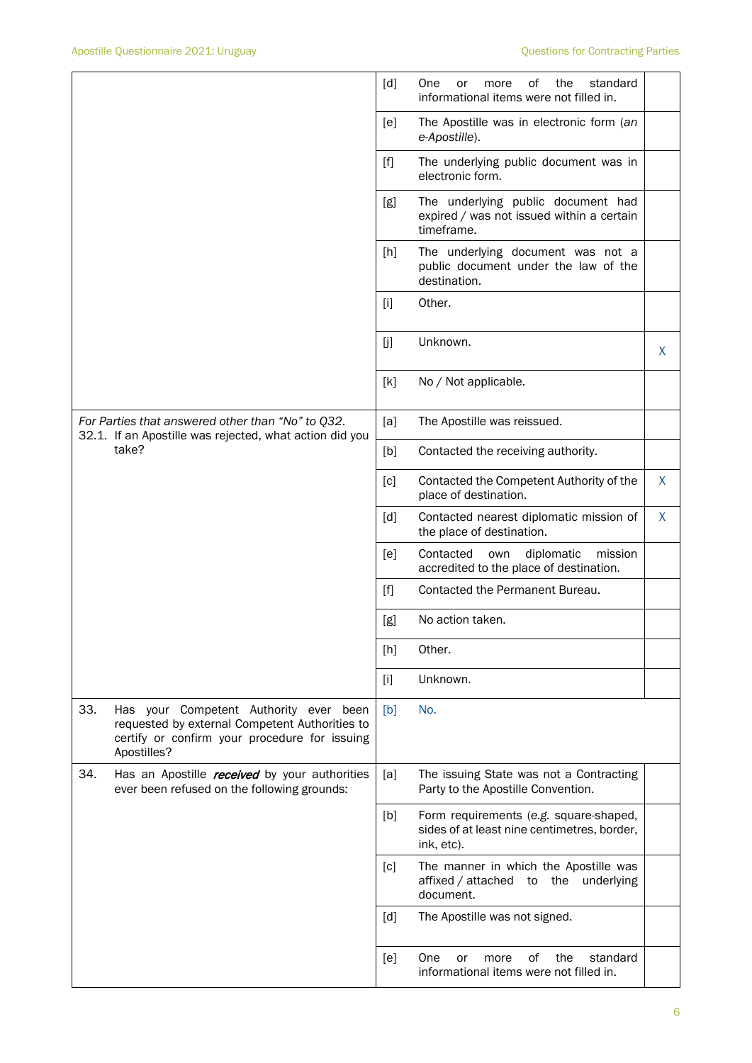|     |                                                                                                                                                          | [d]   | of<br>One<br>the<br>standard<br>or<br>more<br>informational items were not filled in.               |   |
|-----|----------------------------------------------------------------------------------------------------------------------------------------------------------|-------|-----------------------------------------------------------------------------------------------------|---|
|     |                                                                                                                                                          | [e]   | The Apostille was in electronic form (an<br>e-Apostille).                                           |   |
|     |                                                                                                                                                          | $[f]$ | The underlying public document was in<br>electronic form.                                           |   |
|     |                                                                                                                                                          | [g]   | The underlying public document had<br>expired / was not issued within a certain<br>timeframe.       |   |
|     |                                                                                                                                                          | [h]   | The underlying document was not a<br>public document under the law of the<br>destination.           |   |
|     |                                                                                                                                                          | $[1]$ | Other.                                                                                              |   |
|     |                                                                                                                                                          | [j]   | Unknown.                                                                                            | X |
|     |                                                                                                                                                          | [k]   | No / Not applicable.                                                                                |   |
|     | For Parties that answered other than "No" to Q32.<br>32.1. If an Apostille was rejected, what action did you                                             | [a]   | The Apostille was reissued.                                                                         |   |
|     | take?                                                                                                                                                    | [b]   | Contacted the receiving authority.                                                                  |   |
|     |                                                                                                                                                          | [c]   | Contacted the Competent Authority of the<br>place of destination.                                   | X |
|     |                                                                                                                                                          | [d]   | Contacted nearest diplomatic mission of<br>the place of destination.                                | X |
|     |                                                                                                                                                          | [e]   | Contacted<br>own<br>diplomatic<br>mission<br>accredited to the place of destination.                |   |
|     |                                                                                                                                                          | $[f]$ | Contacted the Permanent Bureau.                                                                     |   |
|     |                                                                                                                                                          | [g]   | No action taken.                                                                                    |   |
|     |                                                                                                                                                          | [h]   | Other.                                                                                              |   |
|     |                                                                                                                                                          | $[1]$ | Unknown.                                                                                            |   |
| 33. | Has your Competent Authority ever been<br>requested by external Competent Authorities to<br>certify or confirm your procedure for issuing<br>Apostilles? | [b]   | No.                                                                                                 |   |
| 34. | Has an Apostille <i>received</i> by your authorities<br>ever been refused on the following grounds:                                                      | [a]   | The issuing State was not a Contracting<br>Party to the Apostille Convention.                       |   |
|     |                                                                                                                                                          | [b]   | Form requirements (e.g. square-shaped,<br>sides of at least nine centimetres, border,<br>ink, etc). |   |
|     |                                                                                                                                                          | [c]   | The manner in which the Apostille was<br>affixed / attached to the underlying<br>document.          |   |
|     |                                                                                                                                                          | [d]   | The Apostille was not signed.                                                                       |   |
|     |                                                                                                                                                          | [e]   | of<br>One<br>the<br>standard<br>or<br>more<br>informational items were not filled in.               |   |